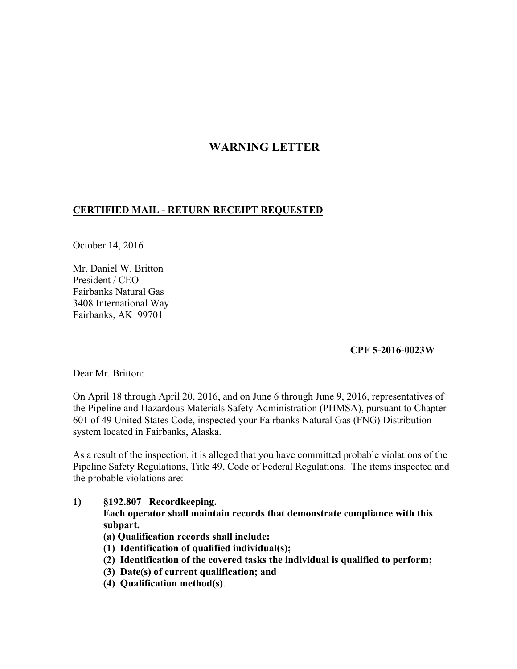# **WARNING LETTER**

### **CERTIFIED MAIL - RETURN RECEIPT REQUESTED**

October 14, 2016

Mr. Daniel W. Britton President / CEO Fairbanks Natural Gas 3408 International Way Fairbanks, AK 99701

#### **CPF 5-2016-0023W**

Dear Mr. Britton:

On April 18 through April 20, 2016, and on June 6 through June 9, 2016, representatives of the Pipeline and Hazardous Materials Safety Administration (PHMSA), pursuant to Chapter 601 of 49 United States Code, inspected your Fairbanks Natural Gas (FNG) Distribution system located in Fairbanks, Alaska.

As a result of the inspection, it is alleged that you have committed probable violations of the Pipeline Safety Regulations, Title 49, Code of Federal Regulations. The items inspected and the probable violations are:

- **1) §192.807 Recordkeeping. Each operator shall maintain records that demonstrate compliance with this subpart.** 
	- **(a) Qualification records shall include:**
	- **(1) Identification of qualified individual(s);**
	- **(2) Identification of the covered tasks the individual is qualified to perform;**
	- **(3) Date(s) of current qualification; and**
	- **(4) Qualification method(s)**.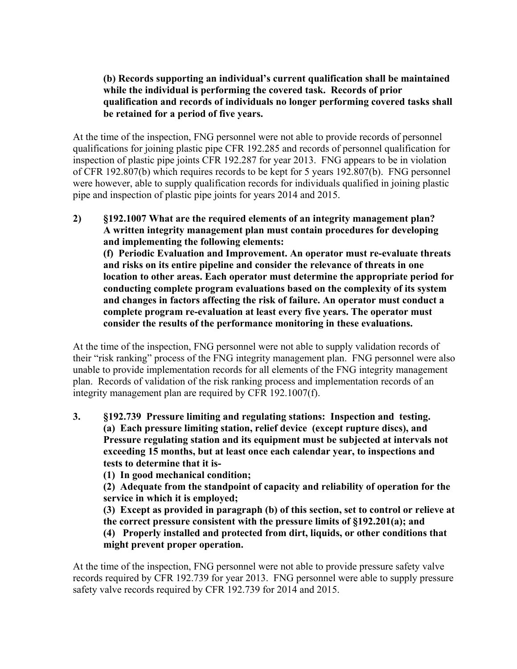## **(b) Records supporting an individual's current qualification shall be maintained while the individual is performing the covered task. Records of prior qualification and records of individuals no longer performing covered tasks shall be retained for a period of five years.**

At the time of the inspection, FNG personnel were not able to provide records of personnel qualifications for joining plastic pipe CFR 192.285 and records of personnel qualification for inspection of plastic pipe joints CFR 192.287 for year 2013. FNG appears to be in violation of CFR 192.807(b) which requires records to be kept for 5 years 192.807(b). FNG personnel were however, able to supply qualification records for individuals qualified in joining plastic pipe and inspection of plastic pipe joints for years 2014 and 2015.

**2) §192.1007 What are the required elements of an integrity management plan? A written integrity management plan must contain procedures for developing and implementing the following elements: (f) Periodic Evaluation and Improvement. An operator must re-evaluate threats and risks on its entire pipeline and consider the relevance of threats in one location to other areas. Each operator must determine the appropriate period for conducting complete program evaluations based on the complexity of its system and changes in factors affecting the risk of failure. An operator must conduct a complete program re-evaluation at least every five years. The operator must consider the results of the performance monitoring in these evaluations.** 

At the time of the inspection, FNG personnel were not able to supply validation records of their "risk ranking" process of the FNG integrity management plan. FNG personnel were also unable to provide implementation records for all elements of the FNG integrity management plan. Records of validation of the risk ranking process and implementation records of an integrity management plan are required by CFR 192.1007(f).

- **3. §192.739 Pressure limiting and regulating stations: Inspection and testing. (a) Each pressure limiting station, relief device (except rupture discs), and Pressure regulating station and its equipment must be subjected at intervals not exceeding 15 months, but at least once each calendar year, to inspections and tests to determine that it is-** 
	- **(1) In good mechanical condition;**

 **(2) Adequate from the standpoint of capacity and reliability of operation for the service in which it is employed;** 

 **(3) Except as provided in paragraph (b) of this section, set to control or relieve at the correct pressure consistent with the pressure limits of §192.201(a); and (4) Properly installed and protected from dirt, liquids, or other conditions that** 

#### **might prevent proper operation.**

At the time of the inspection, FNG personnel were not able to provide pressure safety valve records required by CFR 192.739 for year 2013. FNG personnel were able to supply pressure safety valve records required by CFR 192.739 for 2014 and 2015.